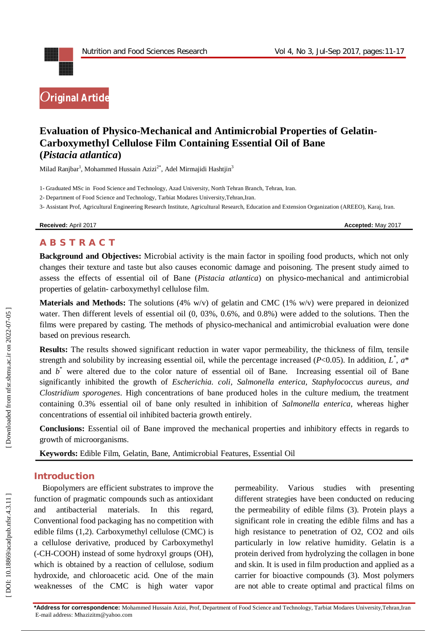

# **Evaluation of Physico -Mechanical and Antimicrobial Properties of Gelatin - Carboxymethyl Cellulose Film Containing Essential Oil of Bane (***Pistacia atlantica***)**

Milad Ranjbar<sup>1</sup>, Mohammed Hussain Azizi<sup>2\*</sup>, Adel Mirmajidi Hashtjin<sup>3</sup>

1 - Graduated MSc in Food Science and Technology , Azad University, North Tehran Branch, Tehran, Iran.

2 - Department of Food Science and Technology, Tarbiat Modares University,Tehran,Iran.

3 - Assistant Prof, Agricultural Engineering Research Institute, Agricultural Research, Education and Extension Organization (AREEO), Karaj, Iran.

**Received:** April 2017 **Accepted:** May 2017

# **A B S T R A C T**

**Background and Objectives:** Microbial activity is the main factor in spoiling food products, which not only changes their texture and taste but also causes economic damage and poisoning. The present study aimed to assess the effects of essential oil of Bane (Pistacia atlantica) on physico-mechanical and antimicrobial properties of gelatin - carboxymethyl cellulose film.

**Materials and Methods:** The solutions (4% w/v) of gelatin and CMC (1% w/v) were prepared in deionized water. Then different levels of essential oil  $(0, 03\%, 0.6\%,$  and 0.8%) were added to the solutions. Then the films were prepared by casting. The methods of physico-mechanical and antimicrobial evaluation were done based on previous research.

**Results:** The results showed significant reduction in water vapor permeability, the thickness of film, tensile strength and solubility by increasing essential oil, while the percentage increased ( $P<0.05$ ). In addition,  $L^*$ ,  $a^*$ and  $b^*$  were altered due to the color nature of essential oil of Bane. Increasing essential oil of Bane significantly inhibited the growth of *Escherichia. coli, Salmonella enterica, Staphylococcus aureus, and Clostridium sporogenes*. High concentrations of bane produced holes in the culture medium, the treatment containing 0.3% essential oil of bane only resulted in inhibition of *Salmonella enterica*, whereas higher concentrations of essential oil inhibited bacteria growth entirely.

**Conclusions:** Essential oil of Bane improved the mechanical properties and inhibitory effects in regards to growth of microorganisms.

**Keywords:** Edible Film, Gelatin, Bane, Antimicrobial Features, Essential Oil

### **Introduction**

Biopolymers are efficient substrates to improve the function of pragmatic compounds such as antioxidant and antibacterial materials. In this regard, Conventional food packaging has no competition with edible films ( 1,2). Carboxymethyl cellulose (CMC) is a cellulose derivative, produced by Carboxymethyl (-CH-COOH) instead of some hydroxyl groups (OH), which is obtained by a reaction of cellulose, sodium hydroxide, and chloroacetic acid. One of the main weaknesses of the CMC is high water vapor

permeability. Various studies with presenting different strategies have been conducted on reducing the permeability of edible films (3). Protein plays a significant role in creating the edible films and has a high resistance to penetration of O2, CO2 and oils particularly in low relative humidity. Gelatin is a protein derived from hydrolyzing the collagen in bone and skin. It is used in film production and applied as a carrier for bioactive compounds (3). Most polymers are not able to create optimal and practical films on

Downloaded from nfsr.sbmu.ac.ir on 2022-07-05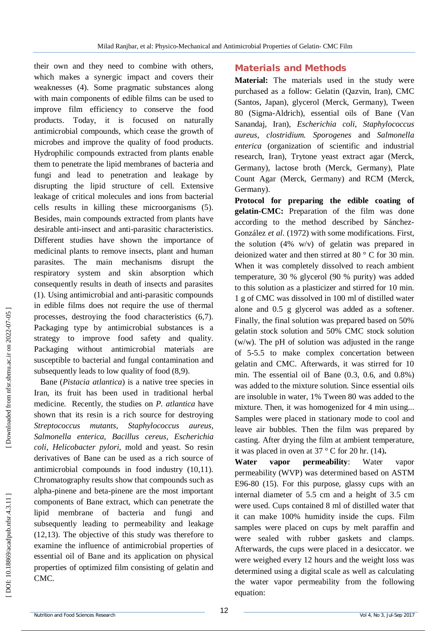their own and they need to combine with others, which makes a synergic impact and covers their weaknesses (4). Some pragmatic substances along with main components of edible films can be used to improve film efficiency to conserve the food products. Today, it is focused on naturally antimicrobial compounds, which cease the growth of microbes and improve the quality of food products. Hydrophilic compounds extracted from plants enable them to penetrate the lipid membranes of bacteria and fungi and lead to penetration and leakage by disrupting the lipid structure of cell. Extensive leakage of critical molecules and ions from bacterial cells results in killing these microorganisms (5). Besides, main compounds extracted from plants have desirable anti -insect and anti -parasitic characteristics. Different studies have shown the importance of medicinal plants to remove insects, plant and human parasites. The main mechanisms disrupt the respiratory system and skin absorption which consequently results in death of insects and parasites (1). Using antimicrobial and anti-parasitic compounds in edible films does not require the use of thermal processes, destroying the food characteristics (6,7). Packaging type by antimicrobial substances is a strategy to improve food safety and quality. Packaging without antimicrobial materials are susceptible to bacterial and fungal contamination and subsequently leads to low quality of food (8,9).

Bane (*Pistacia atlantica*) is a native tree species in Iran, its fruit has been used in traditional herbal medicine. Recently, the studies on *P. atlantica* have shown that its resin is a rich source for destroying *Streptococcus mutants, Staphylococcus aureus, Salmonella enterica, Bacillus cereus, Escherichia coli, Helicobacter pylori*, mold and yeast. So resin derivatives of Bane can be used as a rich source of antimicrobial compounds in food industry (10,11). Chromatography results show that compounds such as alpha -pinene and beta -pinene are the most important components of Bane extract, which can penetrate the lipid membrane of bacteria and fungi and subsequently leading to permeability and leakage (12,13). The objective of this study was therefore to examine the influence of antimicrobial properties of essential oil of Bane and its application on physical properties of optimized film consisting of gelatin and CMC.

# **Materials and Methods**

**Material:** The materials used in the study were purchased as a follow: Gelatin (Qazvin, Iran), CMC (Santos, Japan), glycerol (Merck, Germany), Tween 80 (Sigma -Aldrich), essential oils of Bane (Van Sanandaj, Iran), *Escherichia coli, Staphylococcus aureus, clostridium. Sporogenes* and *Salmonella enterica* (organization of scientific and industrial research, Iran), Trytone yeast extract agar (Merck, Germany), lactose broth (Merck, Germany), Plate Count Agar (Merck, Germany) and RCM (Merck, Germany).

**Protocol for preparing the edible coating of gelatin -CMC:** Preparation of the film was done according to the method described by Sánchez - González *et al*. (1972) with some modifications. First, the solution (4% w/v) of gelatin was prepared in deionized water and then stirred at 80 ° C for 30 min. When it was completely dissolved to reach ambient temperature, 30 % glycerol (90 % purity) was added to this solution as a plasticizer and stirred for 10 min. 1 g of CMC was dissolved in 100 ml of distilled water alone and 0.5 g glycerol was added as a softener. Finally, the final solution was prepared based on 50% gelatin stock solution and 50% CMC stock solution (w/w). The pH of solution was adjusted in the range of 5 -5.5 to make complex concertation between gelatin and CMC. Afterwards, it was stirred for 10 min. The essential oil of Bane (0.3, 0.6, and 0.8%) was added to the mixture solution. Since essential oils are insoluble in water, 1% Tween 80 was added to the mixture. Then, it was homogenized for 4 min using... Samples were placed in stationary mode to cool and leave air bubbles. Then the film was prepared by casting. After drying the film at ambient temperature, it was placed in oven at 37 ° C for 20 hr. (14) **.**

**Water vapor permeability**: Water vapor permeability (WVP) was determined based on ASTM E96 -80 (15). For this purpose, glassy cups with an internal diameter of 5.5 cm and a height of 3.5 cm were used. Cups contained 8 ml of distilled water that it can make 100% humidity inside the cups. Film samples were placed on cups by melt paraffin and were sealed with rubber gaskets and clamps. Afterwards, the cups were placed in a desiccator. we were weighed every 12 hours and the weight loss was determined using a digital scale as well as calculating the water vapor permeability from the following equation: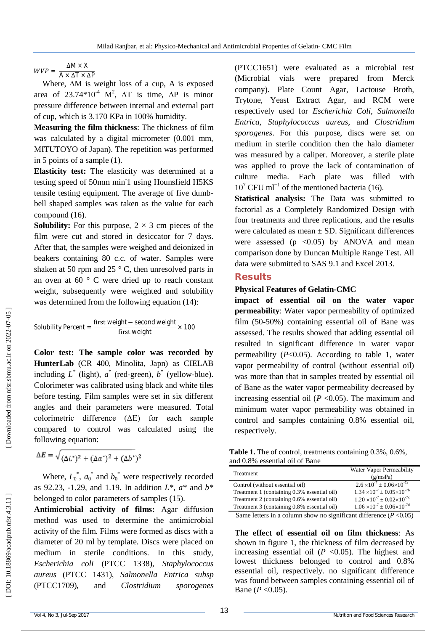$WVP = \frac{\Delta M \times X}{\Delta M \times \Delta T}$  $A \times \Delta T \times \Delta P$ 

Where, ∆M is weight loss of a cup, A is exposed area of 23.74\*10<sup>-4</sup> M<sup>2</sup>,  $\Delta T$  is time,  $\Delta P$  is minor pressure difference between internal and external part of cup, which is 3.170 KPa in 100% humidity.

**Measuring the film thickness**: The thickness of film was calculated by a digital micrometer (0.001 mm, MITUTOYO of Japan). The repetition was performed in 5 points of a sample (1).

**Elasticity test:** The elasticity was determined at a testing speed of 50mm min<sup>1</sup> using Hounsfield H5KS tensile testing equipment. The average of five dumb bell shaped samples was taken as the value for each compound (16).

**Solubility:** For this purpose,  $2 \times 3$  cm pieces of the film were cut and stored in desiccator for 7 days. After that, the samples were weighed and deionized in beakers containing 80 c.c. of water. Samples were shaken at 50 rpm and 25 $\degree$  C, then unresolved parts in an oven at  $60^\circ$  C were dried up to reach constant weight, subsequently were weighted and solubility was determined from the following equation (14):

Solubility Percent = 
$$
\frac{\text{first weight} - \text{second weight}}{\text{first weight}} \times 100
$$

**Color test: The sample color was recorded by HunterLab** (CR 400, Minolita, Japn) as CIELAB including  $L^*$  (light),  $a^*$  (red-green),  $b^*$  (yellow-blue). Colorimeter was calibrated using black and white tiles before testing. Film samples were set in six different angles and their parameters were measured. Total colorimetric difference (ΔE) for each sample compared to control was calculated using the following equation:

$$
\Delta E = \sqrt{(\Delta L^*)^2 + (\Delta a^*)^2 + (\Delta b^*)^2}
$$

Where,  $L_0^*$ ,  $a_0^*$  and  $b_0^*$  were respectively recorded as 92.23, -1.29, and 1.19. In addition *L*\*, *a*\* and *b*\* belonged to color parameters of samples (15).

**Antimicrobial activity of films :** Agar diffusion method was used to determine the antimicrobial activity of the film. Films were formed as discs with a diameter of 20 ml by template. Discs were placed on medium in sterile conditions. In this study, *Escherichia coli* (PTCC 1338), *Staphylococcus aureus* (PTCC 1431), *Salmonella Entrica subsp* (PTCC1709), and *Clostridium sporogenes*

(PTCC1651) were evaluated as a microbial test (Microbial vials were prepared from Merck company). Plate Count Agar, Lactouse Broth, Trytone, Yeast Extract Agar, and RCM were respectively used for *Escherichia Coli*, *Salmonella Entrica, Staphylococcus aureus*, and *Clostridium sporogenes*. For this purpose, discs were set on medium in sterile condition then the halo diameter was measured by a caliper. Moreover, a sterile plate was applied to prove the lack of contamination of culture media. Each plate was filled with  $10^7$  CFU ml<sup>-1</sup> of the mentioned bacteria (16).

**Statistical analysis:** The Data was submitted to factorial as a Completely Randomized Design with four treatments and three replications, and the results were calculated as mean  $\pm$  SD. Significant differences were assessed ( $p \leq 0.05$ ) by ANOVA and mean comparison done by Duncan Multiple Range Test. All data were submitted to SAS 9.1 and Excel 2013.

#### **Results**

#### **Physical Features of Gelatin -CMC**

**impact of essential oil on the water vapor permeability**: Water vapor permeability of optimized film (50 -50%) containing essential oil of Bane was assessed. The results showed that adding essential oil resulted in significant difference in water vapor permeability ( *P*<0.05). According to table 1, water vapor permeability of control (without essential oil) was more than that in samples treated by essential oil of Bane as the water vapor permeability decreased by increasing essential oil  $(P < 0.05)$ . The maximum and minimum water vapor permeability was obtained in control and samples containing 0.8% essential oil, respectively.

**Table 1.** The of control, treatments containing 0.3%, 0.6%, and 0.8% essential oil of Bane

| Treatment                                                                                                                                                                                                                                                    | Water Vapor Permeability<br>(g/msPa)           |
|--------------------------------------------------------------------------------------------------------------------------------------------------------------------------------------------------------------------------------------------------------------|------------------------------------------------|
| Control (without essential oil)                                                                                                                                                                                                                              | $2.6 \times 10^{-7} \pm 0.06 \times 10^{-7a}$  |
| Treatment 1 (containing 0.3% essential oil)                                                                                                                                                                                                                  | $1.34 \times 10^{-7} \pm 0.05 \times 10^{-7}$  |
| Treatment 2 (containing 0.6% essential oil)                                                                                                                                                                                                                  | $1.20 \times 10^{-7} \pm 0.02 \times 10^{-7c}$ |
| Treatment 3 (containing 0.8% essential oil)                                                                                                                                                                                                                  | $1.06 \times 10^{-7} \pm 0.06 \times 10^{-7d}$ |
| $\sim$ $\sim$ $\sim$ $\sim$<br>$-1$ . The set of the set of the set of the set of the set of the set of the set of the set of the set of the set of the set of the set of the set of the set of the set of the set of the set of the set of the set of the s | $\cdots$<br>$\sim$ $\sim$ $\sim$ $\sim$ $\sim$ |

Same letters in a column show no significant difference  $(P<0.05)$ 

**The effect of essential oil on film thickness**: As shown in figure 1, the thickness of film decreased by increasing essential oil  $(P \le 0.05)$ . The highest and lowest thickness belonged to control and 0.8% essential oil, respectively. no significant difference was found between samples containing essential oil of Bane ( $P < 0.05$ ).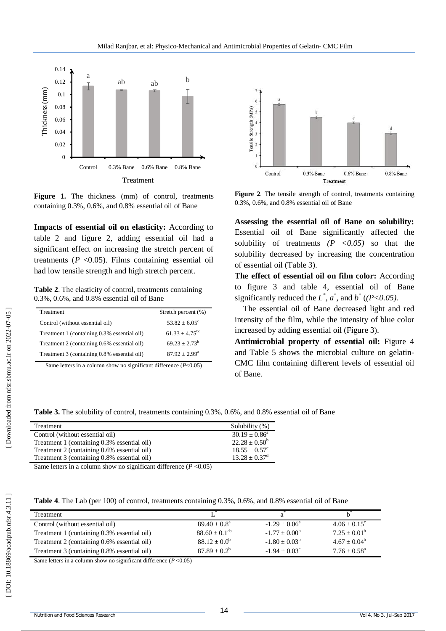

Figure 1. The thickness (mm) of control, treatments containing 0.3%, 0.6%, and 0.8% essential oil of Bane

**Impacts of essential oil on elasticity:** According to table 2 and figure 2, adding essential oil had a significant effect on increasing the stretch percent of treatments  $(P < 0.05)$ . Films containing essential oil had low tensile strength and high stretch percent.

**Table 2**. The elasticity of control, treatments containing 0.3%, 0.6%, and 0.8% essential oil of Bane

| Treatment                                   | Stretch percent (%)       |
|---------------------------------------------|---------------------------|
| Control (without essential oil)             | $53.82 + 6.05^{\circ}$    |
| Treatment 1 (containing 0.3% essential oil) | $61.33 + 4.75^{bc}$       |
| Treatment 2 (containing 0.6% essential oil) | $69.23 + 2.73^b$          |
| Treatment 3 (containing 0.8% essential oil) | $87.92 + 2.99^{\text{a}}$ |

Same letters in a column show no significant difference ( *P*<0.05)



**Figure 2**. The tensile strength of control, treatments containing 0.3%, 0.6%, and 0.8% essential oil of Bane

**Assessing the essential oil of Bane on solubility:** Essential oil of Bane significantly affected the solubility of treatments  $(P \le 0.05)$  so that the solubility decreased by increasing the concentration of essential oil (Table 3).

**The effect of essential oil on film color:** According to figure 3 and table 4, essential oil of Bane significantly reduced the  $L^*$ ,  $a^*$ , and  $b^*$  ((P<0.05).

The essential oil of Bane decreased light and red intensity of the film, while the intensity of blue color increased by adding essential oil (Figure 3).

**Antimicrobial property of essential oil:** Figure 4 and Table 5 shows the microbial culture on gelatin - CMC film containing different levels of essential oil of Bane.

**Table 3.** The solubility of control, treatments containing 0.3%, 0.6%, and 0.8% essential oil of Bane

| Treatment                                   | Solubility (%)         |
|---------------------------------------------|------------------------|
| Control (without essential oil)             | $30.19 + 0.86^a$       |
| Treatment 1 (containing 0.3% essential oil) | $22.28 \pm 0.50^b$     |
| Treatment 2 (containing 0.6% essential oil) | $18.55 + 0.57^{\circ}$ |
| Treatment 3 (containing 0.8% essential oil) | $13.28 \pm 0.37^d$     |

Same letters in a column show no significant difference  $(P<0.05)$ 

|  | <b>Table 4.</b> The Lab (per 100) of control, treatments containing 0.3%, 0.6%, and 0.8% essential oil of Bane |
|--|----------------------------------------------------------------------------------------------------------------|
|--|----------------------------------------------------------------------------------------------------------------|

| Treatment                                   |                         |                        |                          |
|---------------------------------------------|-------------------------|------------------------|--------------------------|
| Control (without essential oil)             | $89.40 \pm 0.8^{\circ}$ | $-1.29 + 0.06^a$       | $4.06 + 0.15^{\circ}$    |
| Treatment 1 (containing 0.3% essential oil) | $88.60 + 0.1^{ab}$      | $-1.77 + 0.00^b$       | $7.25 \pm 0.01^{\rm b}$  |
| Treatment 2 (containing 0.6% essential oil) | $88.12 \pm 0.0^b$       | $-1.80 \pm 0.03^b$     | $4.67 + 0.04^b$          |
| Treatment 3 (containing 0.8% essential oil) | $87.89 + 0.2^b$         | $-1.94 + 0.03^{\circ}$ | $7.76 + 0.58^{\text{a}}$ |

Same letters in a column show no significant difference  $(P<0.05)$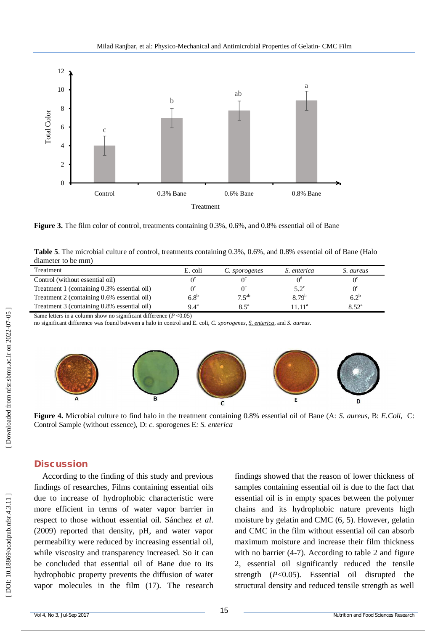

**Figure 3.** The film color of control, treatments containing 0.3%, 0.6%, and 0.8% essential oil of Bane

| Table 5. The microbial culture of control, treatments containing 0.3%, 0.6%, and 0.8% essential oil of Bane (Halo |  |  |  |
|-------------------------------------------------------------------------------------------------------------------|--|--|--|
| diameter to be mm)                                                                                                |  |  |  |

| Treatment                                   | E. coli            | C. sporogenes | <i>S. enterica</i> | S. aureus      |
|---------------------------------------------|--------------------|---------------|--------------------|----------------|
| Control (without essential oil)             | ∩⊂                 |               |                    |                |
| Treatment 1 (containing 0.3% essential oil) | Λ¢                 |               | $5.2^{\circ}$      | $0^{\circ}$    |
| Treatment 2 (containing 0.6% essential oil) | 6.8 <sup>b</sup>   | $7.5^{ab}$    | $8.79^{b}$         | $6.2^{b}$      |
| Treatment 3 (containing 0.8% essential oil) | $9.4^{\mathrm{a}}$ | $8.5^{\circ}$ | $11^{11}$          | $8.52^{\rm a}$ |

Same letters in a column show no significant difference ( *P* <0.05)

no significant difference was found between a halo in control and E. coli, *C. sporogenes, S. enterica*, and *S. aureus*.



**Figure 4.** Microbial culture to find halo in the treatment containing 0.8% essential oil of Bane (A: *S. aureus*, B: *E.Coli*, C: Control Sample (without essence), D: *c.* sporogenes E*: S. enterica* 

#### **Discussion**

According to the finding of this study and previous findings of researches, Films containing essential oils due to increase of hydrophobic characteristic were more efficient in terms of water vapor barrier in respect to those without essential oil. Sánchez *et al*. (2009) reported that density, pH, and water vapor permeability were reduced by increasing essential oil, while viscosity and transparency increased. So it can be concluded that essential oil of Bane due to its hydrophobic property prevents the diffusion of water vapor molecules in the film (17). The research findings showed that the reason of lower thickness of samples containing essential oil is due to the fact that essential oil is in empty spaces between the polymer chains and its hydrophobic nature prevents high moisture by gelatin and CMC (6, 5). However, gelatin and CMC in the film without essential oil can absorb maximum moisture and increase their film thickness with no barrier (4-7). According to table 2 and figure 2, essential oil significantly reduced the tensile strength ( *P*<0.05). Essential oil disrupted the structural density and reduced tensile strength as well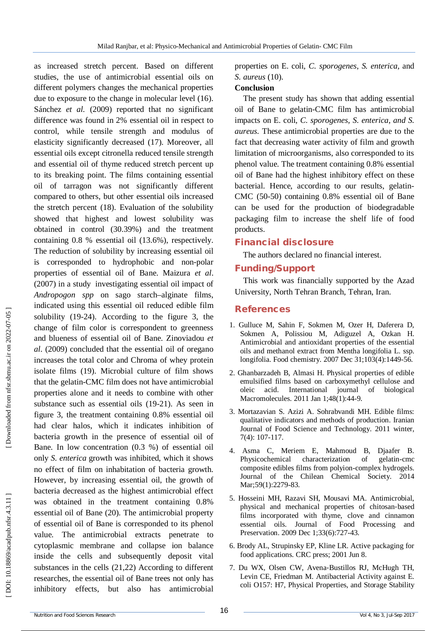as increased stretch percent. Based on different studies, the use of antimicrobial essential oils on different polymers changes the mechanical properties due to exposure to the change in molecular level (16). Sánchez *et al.* (2009) reported that no significant difference was found in 2% essential oil in respect to control, while tensile strength and modulus of elasticity significantly decreased (17). Moreover, all essential oils except citronella reduced tensile strength and essential oil of thyme reduced stretch percent up to its breaking point. The films containing essential oil of tarragon was not significantly different compared to others, but other essential oils increased the stretch percent (18). Evaluation of the solubility showed that highest and lowest solubility was obtained in control (30.39%) and the treatment containing 0.8 % essential oil (13.6%), respectively. The reduction of solubility by increasing essential oil is corresponded to hydrophobic and non -polar properties of essential oil of Bane. Maizura *et al*. (2007) in a study investigating essential oil impact of *Andropogon spp* on sago starch–alginate films, indicated using this essential oil reduced edible film solubility (19 -24). According to the figure 3, the change of film color is correspondent to greenness and blueness of essential oil of Bane. Zinoviadou *et al*. (2009) concluded that the essential oil of oregano increases the total color and Chroma of whey protein isolate films (19). Microbial culture of film shows that the gelatin -CMC film does not have antimicrobial properties alone and it needs to combine with other substance such as essential oils (19 -21). As seen in figure 3, the treatment containing 0.8% essential oil had clear halos, which it indicates inhibition of bacteria growth in the presence of essential oil of Bane. In low concentration (0.3 %) of essential oil only *S. enterica* growth was inhibited, which it shows no effect of film on inhabitation of bacteria growth. However, by increasing essential oil, the growth of bacteria decreased as the highest antimicrobial effect was obtained in the treatment containing 0.8% essential oil of Bane (20). The antimicrobial property of essential oil of Bane is corresponded to its phenol value. The antimicrobial extracts penetrate to cytoplasmic membrane and collapse ion balance inside the cells and subsequently deposit vital substances in the cells (21,22) According to different researches, the essential oil of Bane trees not only has inhibitory effects, but also has antimicrobial

properties on E. coli, C. sporogenes, S. enterica, and *S. aureus* (10).

#### **Conclusion**

The present study has shown that adding essential oil of Bane to gelatin -CMC film has antimicrobial impacts on E. coli*, C. sporogenes, S. enterica, and S. aureus.* These antimicrobial properties are due to the fact that decreasing water activity of film and growth limitation of microorganisms, also corresponded to its phenol value. The treatment containing 0.8% essential oil of Bane had the highest inhibitory effect on these bacterial. Hence, according to our results, gelatin - CMC (50 -50) containing 0.8% essential oil of Bane can be used for the production of biodegradable packaging film to increase the shelf life of food products.

# **Financial disclosure**

The authors declared no financial interest.

# **Funding/Support**

This work was financially supported by the Azad University, North Tehran Branch, Tehran, Iran.

# **References**

- 1. Gulluce M, Sahin F, Sokmen M, Ozer H, Daferera D, Sokmen A, Polissiou M, Adiguzel A, Ozkan H. Antimicrobial and antioxidant properties of the essential oils and methanol extract from Mentha longifolia L. ssp. longifolia. Food chemistry. 2007 Dec 31;103(4):1449 -56.
- 2. Ghanbarzadeh B, Almasi H. Physical properties of edible emulsified films based on carboxymethyl cellulose and oleic acid. International journal of biological Macromolecules. 2011 Jan 1;48(1):44 -9.
- 3. Mortazavian S. Azizi A. Sohrabvandi MH. Edible films: qualitative indicators and methods of production. Iranian Journal of Food Science and Technology. 2011 winter, 7(4): 107 -117.
- 4. Asma C, Meriem E, Mahmoud B, Djaafer B. Physicochemical characterization gelatin-cmc composite edibles films from polyion -complex hydrogels. Journal of the Chilean Chemical Society. 2014 Mar;59(1):2279-83.
- 5. Hosseini MH, Razavi SH, Mousavi MA. Antimicrobial, physical and mechanical properties of chitosan ‐based films incorporated with thyme, clove and cinnamon essential oils. Journal of Food Processing and Preservation. 2009 Dec 1;33(6):727 -43.
- 6. Brody AL, Strupinsky EP, Kline LR. Active packaging for food applications. CRC press; 2001 Jun 8.
- 7. Du WX, Olsen CW, Avena ‐Bustillos RJ, McHugh TH, Levin CE, Friedman M. Antibacterial Activity against E. coli O157: H7, Physical Properties, and Storage Stability